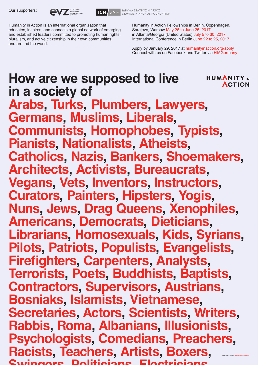Humanity in Action Fellowships in Berlin, Copenhagen, Sarajevo, Warsaw May 26 to June 25, 2017 in Atlanta/Georgia (United States) July 5 to 30, 2017 International Conference in Berlin June 22 to 25, 2017

Apply by January 29, 2017 at humanityinaction.org/apply Connect with us on Facebook and Twitter via HIAGermany

Humanity in Action is an international organization that educates, inspires, and connects a global network of emerging and established leaders committed to promoting human rights, pluralism, and active citizenship in their own communities, and around the world.

## **How are we supposed to live**  HUMANITYIN **ACTION in a society of Arabs, Turks, Plumbers, Lawyers, Germans, Muslims, Liberals, Communists, Homophobes, Typists,**

**Pianists, Nationalists, Atheists, Catholics, Nazis, Bankers, Shoemakers, Architects, Activists, Bureaucrats, Vegans, Vets, Inventors, Instructors, Curators, Painters, Hipsters, Yogis, Nuns, Jews, Drag Queens, Xenophiles, Americans, Democrats, Dieticians, Librarians, Homosexuals, Kids, Syrians, Pilots, Patriots, Populists, Evangelists, Firefighters, Carpenters, Analysts, Terrorists, Poets, Buddhists, Baptists, Contractors, Supervisors, Austrians, Bosniaks, Islamists, Vietnamese, Secretaries, Actors, Scientists, Writers, Rabbis, Roma, Albanians, Illusionists, Psychologists, Comedians, Preachers, Racists, Teachers, Artists, Boxers,** Swingers, Politicians, Electricians Concept & design: Atelier Yuri Veerman

Our supporters:





ΙΔΡΥΜΑ ΣΤΑΥΡΟΣ ΝΙΑΡΧΟΣ **STAVROS NIARCHOS FOUNDATION**